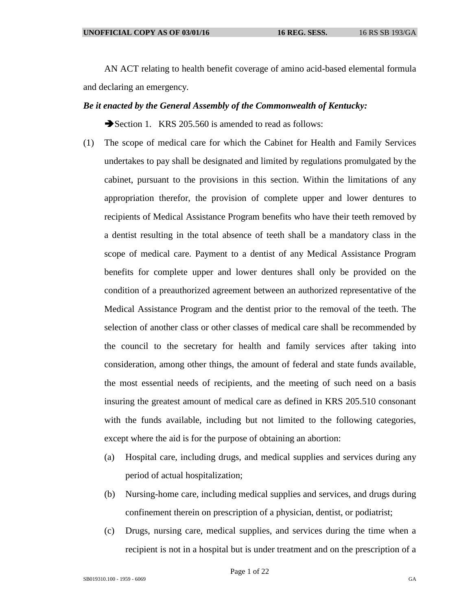AN ACT relating to health benefit coverage of amino acid-based elemental formula and declaring an emergency.

## *Be it enacted by the General Assembly of the Commonwealth of Kentucky:*

Section 1. KRS 205.560 is amended to read as follows:

- (1) The scope of medical care for which the Cabinet for Health and Family Services undertakes to pay shall be designated and limited by regulations promulgated by the cabinet, pursuant to the provisions in this section. Within the limitations of any appropriation therefor, the provision of complete upper and lower dentures to recipients of Medical Assistance Program benefits who have their teeth removed by a dentist resulting in the total absence of teeth shall be a mandatory class in the scope of medical care. Payment to a dentist of any Medical Assistance Program benefits for complete upper and lower dentures shall only be provided on the condition of a preauthorized agreement between an authorized representative of the Medical Assistance Program and the dentist prior to the removal of the teeth. The selection of another class or other classes of medical care shall be recommended by the council to the secretary for health and family services after taking into consideration, among other things, the amount of federal and state funds available, the most essential needs of recipients, and the meeting of such need on a basis insuring the greatest amount of medical care as defined in KRS 205.510 consonant with the funds available, including but not limited to the following categories, except where the aid is for the purpose of obtaining an abortion:
	- (a) Hospital care, including drugs, and medical supplies and services during any period of actual hospitalization;
	- (b) Nursing-home care, including medical supplies and services, and drugs during confinement therein on prescription of a physician, dentist, or podiatrist;
	- (c) Drugs, nursing care, medical supplies, and services during the time when a recipient is not in a hospital but is under treatment and on the prescription of a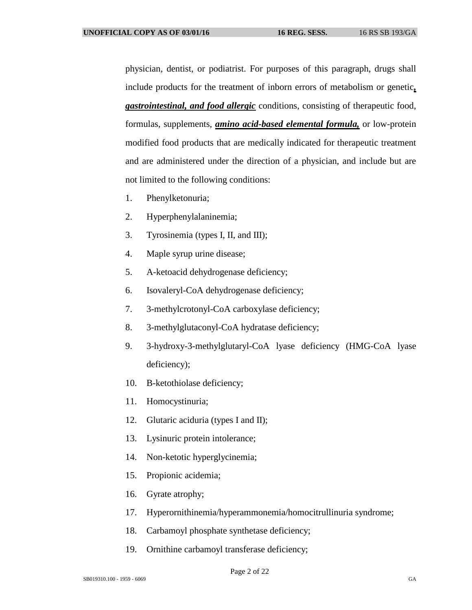physician, dentist, or podiatrist. For purposes of this paragraph, drugs shall include products for the treatment of inborn errors of metabolism or genetic*, gastrointestinal, and food allergic* conditions, consisting of therapeutic food, formulas, supplements, *amino acid-based elemental formula,* or low-protein modified food products that are medically indicated for therapeutic treatment and are administered under the direction of a physician, and include but are not limited to the following conditions:

- 1. Phenylketonuria;
- 2. Hyperphenylalaninemia;
- 3. Tyrosinemia (types I, II, and III);
- 4. Maple syrup urine disease;
- 5. A-ketoacid dehydrogenase deficiency;
- 6. Isovaleryl-CoA dehydrogenase deficiency;
- 7. 3-methylcrotonyl-CoA carboxylase deficiency;
- 8. 3-methylglutaconyl-CoA hydratase deficiency;
- 9. 3-hydroxy-3-methylglutaryl-CoA lyase deficiency (HMG-CoA lyase deficiency);
- 10. B-ketothiolase deficiency;
- 11. Homocystinuria;
- 12. Glutaric aciduria (types I and II);
- 13. Lysinuric protein intolerance;
- 14. Non-ketotic hyperglycinemia;
- 15. Propionic acidemia;
- 16. Gyrate atrophy;
- 17. Hyperornithinemia/hyperammonemia/homocitrullinuria syndrome;
- 18. Carbamoyl phosphate synthetase deficiency;
- 19. Ornithine carbamoyl transferase deficiency;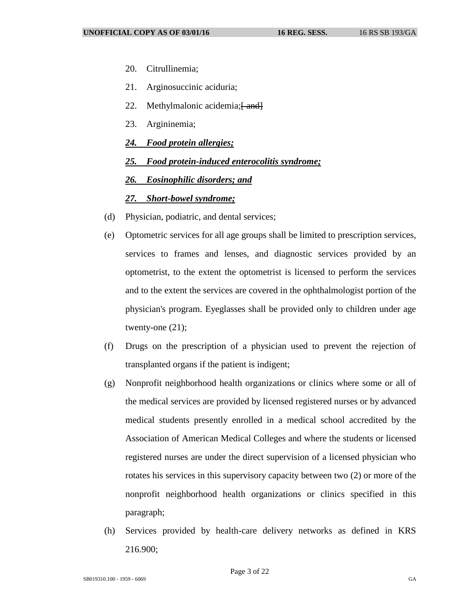- 20. Citrullinemia;
- 21. Arginosuccinic aciduria;
- 22. Methylmalonic acidemia; $\frac{22}{1}$
- 23. Argininemia;
- *24. Food protein allergies;*
- *25. Food protein-induced enterocolitis syndrome;*
- *26. Eosinophilic disorders; and*

## *27. Short-bowel syndrome;*

- (d) Physician, podiatric, and dental services;
- (e) Optometric services for all age groups shall be limited to prescription services, services to frames and lenses, and diagnostic services provided by an optometrist, to the extent the optometrist is licensed to perform the services and to the extent the services are covered in the ophthalmologist portion of the physician's program. Eyeglasses shall be provided only to children under age twenty-one (21);
- (f) Drugs on the prescription of a physician used to prevent the rejection of transplanted organs if the patient is indigent;
- (g) Nonprofit neighborhood health organizations or clinics where some or all of the medical services are provided by licensed registered nurses or by advanced medical students presently enrolled in a medical school accredited by the Association of American Medical Colleges and where the students or licensed registered nurses are under the direct supervision of a licensed physician who rotates his services in this supervisory capacity between two (2) or more of the nonprofit neighborhood health organizations or clinics specified in this paragraph;
- (h) Services provided by health-care delivery networks as defined in KRS 216.900;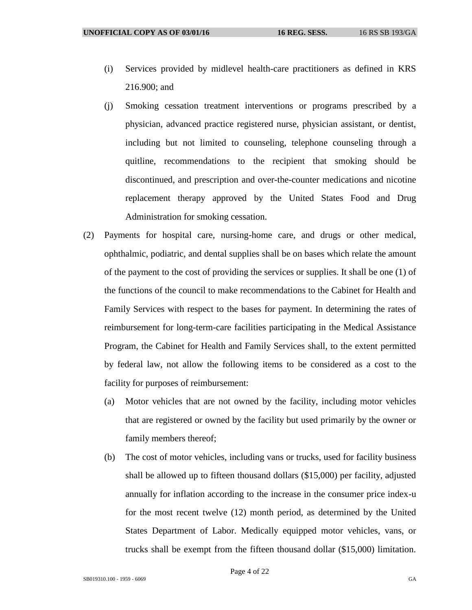- (i) Services provided by midlevel health-care practitioners as defined in KRS 216.900; and
- (j) Smoking cessation treatment interventions or programs prescribed by a physician, advanced practice registered nurse, physician assistant, or dentist, including but not limited to counseling, telephone counseling through a quitline, recommendations to the recipient that smoking should be discontinued, and prescription and over-the-counter medications and nicotine replacement therapy approved by the United States Food and Drug Administration for smoking cessation.
- (2) Payments for hospital care, nursing-home care, and drugs or other medical, ophthalmic, podiatric, and dental supplies shall be on bases which relate the amount of the payment to the cost of providing the services or supplies. It shall be one (1) of the functions of the council to make recommendations to the Cabinet for Health and Family Services with respect to the bases for payment. In determining the rates of reimbursement for long-term-care facilities participating in the Medical Assistance Program, the Cabinet for Health and Family Services shall, to the extent permitted by federal law, not allow the following items to be considered as a cost to the facility for purposes of reimbursement:
	- (a) Motor vehicles that are not owned by the facility, including motor vehicles that are registered or owned by the facility but used primarily by the owner or family members thereof;
	- (b) The cost of motor vehicles, including vans or trucks, used for facility business shall be allowed up to fifteen thousand dollars (\$15,000) per facility, adjusted annually for inflation according to the increase in the consumer price index-u for the most recent twelve (12) month period, as determined by the United States Department of Labor. Medically equipped motor vehicles, vans, or trucks shall be exempt from the fifteen thousand dollar (\$15,000) limitation.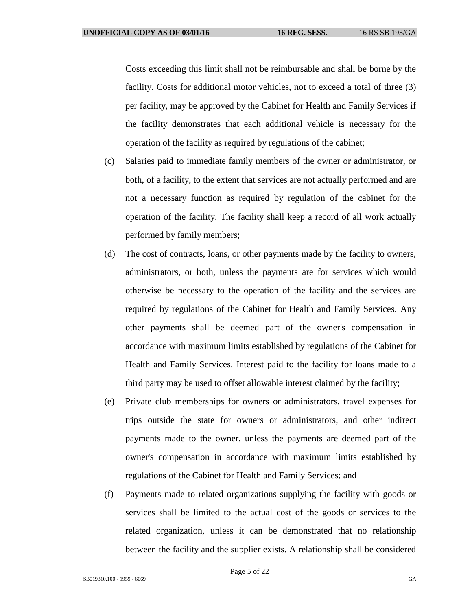Costs exceeding this limit shall not be reimbursable and shall be borne by the facility. Costs for additional motor vehicles, not to exceed a total of three (3) per facility, may be approved by the Cabinet for Health and Family Services if the facility demonstrates that each additional vehicle is necessary for the operation of the facility as required by regulations of the cabinet;

- (c) Salaries paid to immediate family members of the owner or administrator, or both, of a facility, to the extent that services are not actually performed and are not a necessary function as required by regulation of the cabinet for the operation of the facility. The facility shall keep a record of all work actually performed by family members;
- (d) The cost of contracts, loans, or other payments made by the facility to owners, administrators, or both, unless the payments are for services which would otherwise be necessary to the operation of the facility and the services are required by regulations of the Cabinet for Health and Family Services. Any other payments shall be deemed part of the owner's compensation in accordance with maximum limits established by regulations of the Cabinet for Health and Family Services. Interest paid to the facility for loans made to a third party may be used to offset allowable interest claimed by the facility;
- (e) Private club memberships for owners or administrators, travel expenses for trips outside the state for owners or administrators, and other indirect payments made to the owner, unless the payments are deemed part of the owner's compensation in accordance with maximum limits established by regulations of the Cabinet for Health and Family Services; and
- (f) Payments made to related organizations supplying the facility with goods or services shall be limited to the actual cost of the goods or services to the related organization, unless it can be demonstrated that no relationship between the facility and the supplier exists. A relationship shall be considered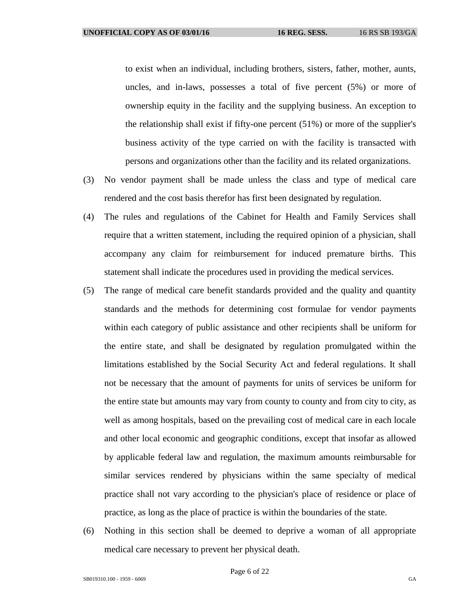to exist when an individual, including brothers, sisters, father, mother, aunts, uncles, and in-laws, possesses a total of five percent (5%) or more of ownership equity in the facility and the supplying business. An exception to the relationship shall exist if fifty-one percent (51%) or more of the supplier's business activity of the type carried on with the facility is transacted with persons and organizations other than the facility and its related organizations.

- (3) No vendor payment shall be made unless the class and type of medical care rendered and the cost basis therefor has first been designated by regulation.
- (4) The rules and regulations of the Cabinet for Health and Family Services shall require that a written statement, including the required opinion of a physician, shall accompany any claim for reimbursement for induced premature births. This statement shall indicate the procedures used in providing the medical services.
- (5) The range of medical care benefit standards provided and the quality and quantity standards and the methods for determining cost formulae for vendor payments within each category of public assistance and other recipients shall be uniform for the entire state, and shall be designated by regulation promulgated within the limitations established by the Social Security Act and federal regulations. It shall not be necessary that the amount of payments for units of services be uniform for the entire state but amounts may vary from county to county and from city to city, as well as among hospitals, based on the prevailing cost of medical care in each locale and other local economic and geographic conditions, except that insofar as allowed by applicable federal law and regulation, the maximum amounts reimbursable for similar services rendered by physicians within the same specialty of medical practice shall not vary according to the physician's place of residence or place of practice, as long as the place of practice is within the boundaries of the state.
- (6) Nothing in this section shall be deemed to deprive a woman of all appropriate medical care necessary to prevent her physical death.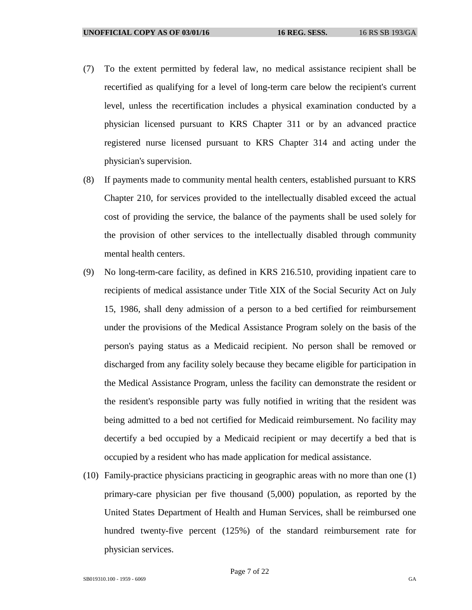- (7) To the extent permitted by federal law, no medical assistance recipient shall be recertified as qualifying for a level of long-term care below the recipient's current level, unless the recertification includes a physical examination conducted by a physician licensed pursuant to KRS Chapter 311 or by an advanced practice registered nurse licensed pursuant to KRS Chapter 314 and acting under the physician's supervision.
- (8) If payments made to community mental health centers, established pursuant to KRS Chapter 210, for services provided to the intellectually disabled exceed the actual cost of providing the service, the balance of the payments shall be used solely for the provision of other services to the intellectually disabled through community mental health centers.
- (9) No long-term-care facility, as defined in KRS 216.510, providing inpatient care to recipients of medical assistance under Title XIX of the Social Security Act on July 15, 1986, shall deny admission of a person to a bed certified for reimbursement under the provisions of the Medical Assistance Program solely on the basis of the person's paying status as a Medicaid recipient. No person shall be removed or discharged from any facility solely because they became eligible for participation in the Medical Assistance Program, unless the facility can demonstrate the resident or the resident's responsible party was fully notified in writing that the resident was being admitted to a bed not certified for Medicaid reimbursement. No facility may decertify a bed occupied by a Medicaid recipient or may decertify a bed that is occupied by a resident who has made application for medical assistance.
- (10) Family-practice physicians practicing in geographic areas with no more than one (1) primary-care physician per five thousand (5,000) population, as reported by the United States Department of Health and Human Services, shall be reimbursed one hundred twenty-five percent (125%) of the standard reimbursement rate for physician services.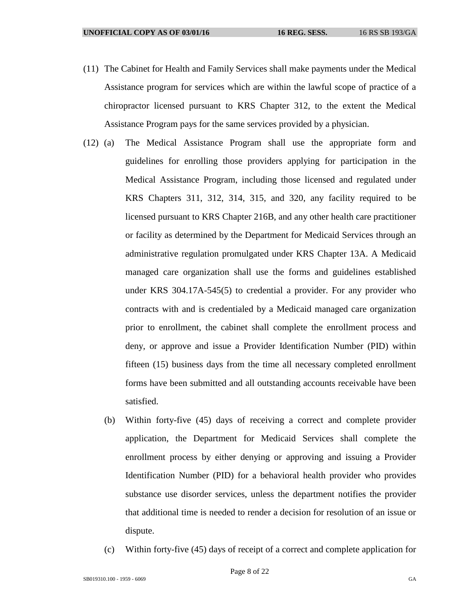- (11) The Cabinet for Health and Family Services shall make payments under the Medical Assistance program for services which are within the lawful scope of practice of a chiropractor licensed pursuant to KRS Chapter 312, to the extent the Medical Assistance Program pays for the same services provided by a physician.
- (12) (a) The Medical Assistance Program shall use the appropriate form and guidelines for enrolling those providers applying for participation in the Medical Assistance Program, including those licensed and regulated under KRS Chapters 311, 312, 314, 315, and 320, any facility required to be licensed pursuant to KRS Chapter 216B, and any other health care practitioner or facility as determined by the Department for Medicaid Services through an administrative regulation promulgated under KRS Chapter 13A. A Medicaid managed care organization shall use the forms and guidelines established under KRS 304.17A-545(5) to credential a provider. For any provider who contracts with and is credentialed by a Medicaid managed care organization prior to enrollment, the cabinet shall complete the enrollment process and deny, or approve and issue a Provider Identification Number (PID) within fifteen (15) business days from the time all necessary completed enrollment forms have been submitted and all outstanding accounts receivable have been satisfied.
	- (b) Within forty-five (45) days of receiving a correct and complete provider application, the Department for Medicaid Services shall complete the enrollment process by either denying or approving and issuing a Provider Identification Number (PID) for a behavioral health provider who provides substance use disorder services, unless the department notifies the provider that additional time is needed to render a decision for resolution of an issue or dispute.
	- (c) Within forty-five (45) days of receipt of a correct and complete application for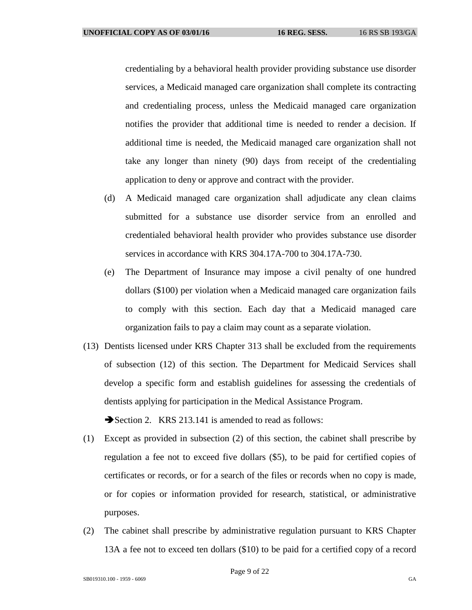credentialing by a behavioral health provider providing substance use disorder services, a Medicaid managed care organization shall complete its contracting and credentialing process, unless the Medicaid managed care organization notifies the provider that additional time is needed to render a decision. If additional time is needed, the Medicaid managed care organization shall not take any longer than ninety (90) days from receipt of the credentialing application to deny or approve and contract with the provider.

- (d) A Medicaid managed care organization shall adjudicate any clean claims submitted for a substance use disorder service from an enrolled and credentialed behavioral health provider who provides substance use disorder services in accordance with KRS 304.17A-700 to 304.17A-730.
- (e) The Department of Insurance may impose a civil penalty of one hundred dollars (\$100) per violation when a Medicaid managed care organization fails to comply with this section. Each day that a Medicaid managed care organization fails to pay a claim may count as a separate violation.
- (13) Dentists licensed under KRS Chapter 313 shall be excluded from the requirements of subsection (12) of this section. The Department for Medicaid Services shall develop a specific form and establish guidelines for assessing the credentials of dentists applying for participation in the Medical Assistance Program.

Section 2. KRS 213.141 is amended to read as follows:

- (1) Except as provided in subsection (2) of this section, the cabinet shall prescribe by regulation a fee not to exceed five dollars (\$5), to be paid for certified copies of certificates or records, or for a search of the files or records when no copy is made, or for copies or information provided for research, statistical, or administrative purposes.
- (2) The cabinet shall prescribe by administrative regulation pursuant to KRS Chapter 13A a fee not to exceed ten dollars (\$10) to be paid for a certified copy of a record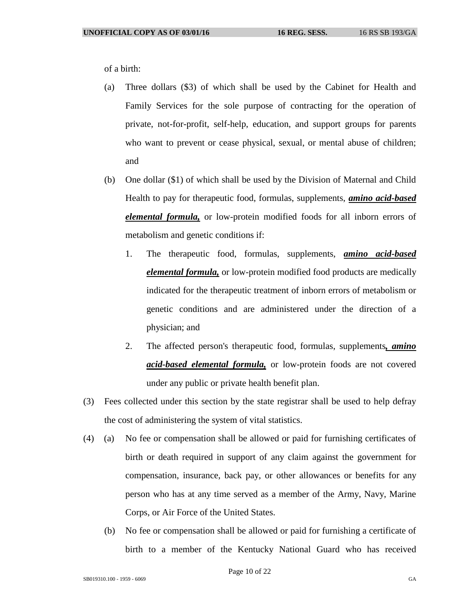of a birth:

- (a) Three dollars (\$3) of which shall be used by the Cabinet for Health and Family Services for the sole purpose of contracting for the operation of private, not-for-profit, self-help, education, and support groups for parents who want to prevent or cease physical, sexual, or mental abuse of children; and
- (b) One dollar (\$1) of which shall be used by the Division of Maternal and Child Health to pay for therapeutic food, formulas, supplements, *amino acid-based elemental formula,* or low-protein modified foods for all inborn errors of metabolism and genetic conditions if:
	- 1. The therapeutic food, formulas, supplements, *amino acid-based elemental formula,* or low-protein modified food products are medically indicated for the therapeutic treatment of inborn errors of metabolism or genetic conditions and are administered under the direction of a physician; and
	- 2. The affected person's therapeutic food, formulas, supplements*, amino acid-based elemental formula,* or low-protein foods are not covered under any public or private health benefit plan.
- (3) Fees collected under this section by the state registrar shall be used to help defray the cost of administering the system of vital statistics.
- (4) (a) No fee or compensation shall be allowed or paid for furnishing certificates of birth or death required in support of any claim against the government for compensation, insurance, back pay, or other allowances or benefits for any person who has at any time served as a member of the Army, Navy, Marine Corps, or Air Force of the United States.
	- (b) No fee or compensation shall be allowed or paid for furnishing a certificate of birth to a member of the Kentucky National Guard who has received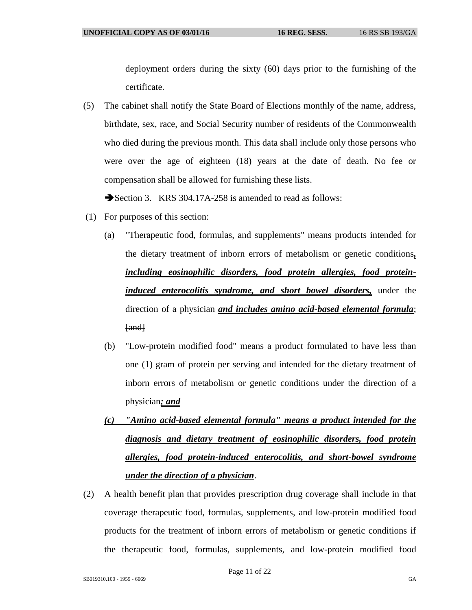deployment orders during the sixty (60) days prior to the furnishing of the certificate.

(5) The cabinet shall notify the State Board of Elections monthly of the name, address, birthdate, sex, race, and Social Security number of residents of the Commonwealth who died during the previous month. This data shall include only those persons who were over the age of eighteen (18) years at the date of death. No fee or compensation shall be allowed for furnishing these lists.

Section 3. KRS 304.17A-258 is amended to read as follows:

- (1) For purposes of this section:
	- (a) "Therapeutic food, formulas, and supplements" means products intended for the dietary treatment of inborn errors of metabolism or genetic conditions*, including eosinophilic disorders, food protein allergies, food proteininduced enterocolitis syndrome, and short bowel disorders,* under the direction of a physician *and includes amino acid-based elemental formula*; [and]
	- (b) "Low-protein modified food" means a product formulated to have less than one (1) gram of protein per serving and intended for the dietary treatment of inborn errors of metabolism or genetic conditions under the direction of a physician*; and*
	- *(c) "Amino acid-based elemental formula" means a product intended for the diagnosis and dietary treatment of eosinophilic disorders, food protein allergies, food protein-induced enterocolitis, and short-bowel syndrome under the direction of a physician*.
- (2) A health benefit plan that provides prescription drug coverage shall include in that coverage therapeutic food, formulas, supplements, and low-protein modified food products for the treatment of inborn errors of metabolism or genetic conditions if the therapeutic food, formulas, supplements, and low-protein modified food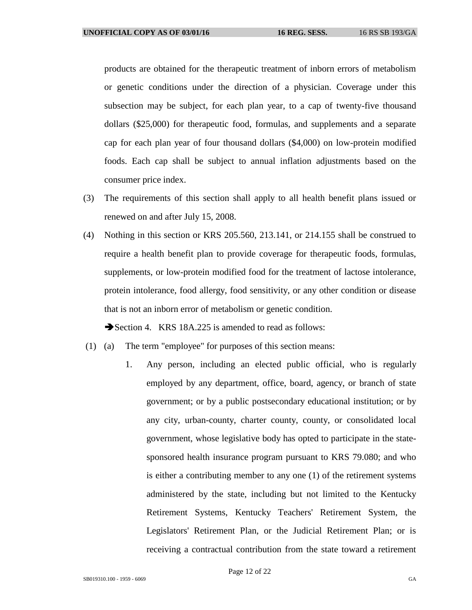products are obtained for the therapeutic treatment of inborn errors of metabolism or genetic conditions under the direction of a physician. Coverage under this subsection may be subject, for each plan year, to a cap of twenty-five thousand dollars (\$25,000) for therapeutic food, formulas, and supplements and a separate cap for each plan year of four thousand dollars (\$4,000) on low-protein modified foods. Each cap shall be subject to annual inflation adjustments based on the consumer price index.

- (3) The requirements of this section shall apply to all health benefit plans issued or renewed on and after July 15, 2008.
- (4) Nothing in this section or KRS 205.560, 213.141, or 214.155 shall be construed to require a health benefit plan to provide coverage for therapeutic foods, formulas, supplements, or low-protein modified food for the treatment of lactose intolerance, protein intolerance, food allergy, food sensitivity, or any other condition or disease that is not an inborn error of metabolism or genetic condition.

Section 4. KRS 18A.225 is amended to read as follows:

- (1) (a) The term "employee" for purposes of this section means:
	- 1. Any person, including an elected public official, who is regularly employed by any department, office, board, agency, or branch of state government; or by a public postsecondary educational institution; or by any city, urban-county, charter county, county, or consolidated local government, whose legislative body has opted to participate in the statesponsored health insurance program pursuant to KRS 79.080; and who is either a contributing member to any one (1) of the retirement systems administered by the state, including but not limited to the Kentucky Retirement Systems, Kentucky Teachers' Retirement System, the Legislators' Retirement Plan, or the Judicial Retirement Plan; or is receiving a contractual contribution from the state toward a retirement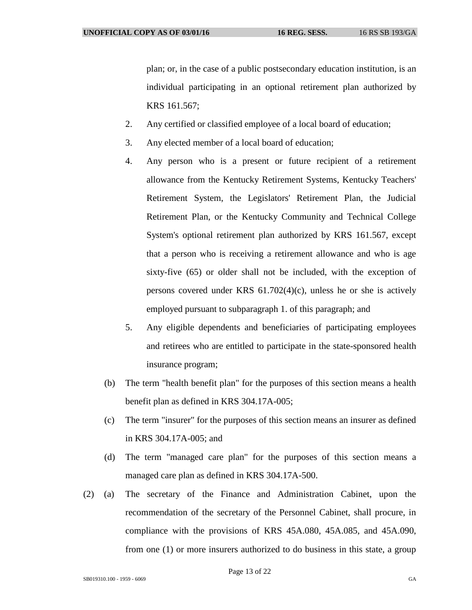plan; or, in the case of a public postsecondary education institution, is an individual participating in an optional retirement plan authorized by KRS 161.567;

- 2. Any certified or classified employee of a local board of education;
- 3. Any elected member of a local board of education;
- 4. Any person who is a present or future recipient of a retirement allowance from the Kentucky Retirement Systems, Kentucky Teachers' Retirement System, the Legislators' Retirement Plan, the Judicial Retirement Plan, or the Kentucky Community and Technical College System's optional retirement plan authorized by KRS 161.567, except that a person who is receiving a retirement allowance and who is age sixty-five (65) or older shall not be included, with the exception of persons covered under KRS 61.702(4)(c), unless he or she is actively employed pursuant to subparagraph 1. of this paragraph; and
- 5. Any eligible dependents and beneficiaries of participating employees and retirees who are entitled to participate in the state-sponsored health insurance program;
- (b) The term "health benefit plan" for the purposes of this section means a health benefit plan as defined in KRS 304.17A-005;
- (c) The term "insurer" for the purposes of this section means an insurer as defined in KRS 304.17A-005; and
- (d) The term "managed care plan" for the purposes of this section means a managed care plan as defined in KRS 304.17A-500.
- (2) (a) The secretary of the Finance and Administration Cabinet, upon the recommendation of the secretary of the Personnel Cabinet, shall procure, in compliance with the provisions of KRS 45A.080, 45A.085, and 45A.090, from one (1) or more insurers authorized to do business in this state, a group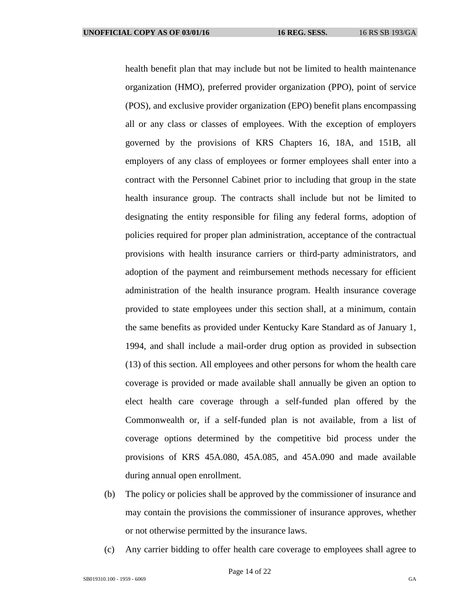health benefit plan that may include but not be limited to health maintenance organization (HMO), preferred provider organization (PPO), point of service (POS), and exclusive provider organization (EPO) benefit plans encompassing all or any class or classes of employees. With the exception of employers governed by the provisions of KRS Chapters 16, 18A, and 151B, all employers of any class of employees or former employees shall enter into a contract with the Personnel Cabinet prior to including that group in the state health insurance group. The contracts shall include but not be limited to designating the entity responsible for filing any federal forms, adoption of policies required for proper plan administration, acceptance of the contractual provisions with health insurance carriers or third-party administrators, and adoption of the payment and reimbursement methods necessary for efficient administration of the health insurance program. Health insurance coverage provided to state employees under this section shall, at a minimum, contain the same benefits as provided under Kentucky Kare Standard as of January 1, 1994, and shall include a mail-order drug option as provided in subsection (13) of this section. All employees and other persons for whom the health care coverage is provided or made available shall annually be given an option to elect health care coverage through a self-funded plan offered by the Commonwealth or, if a self-funded plan is not available, from a list of coverage options determined by the competitive bid process under the provisions of KRS 45A.080, 45A.085, and 45A.090 and made available during annual open enrollment.

- (b) The policy or policies shall be approved by the commissioner of insurance and may contain the provisions the commissioner of insurance approves, whether or not otherwise permitted by the insurance laws.
- (c) Any carrier bidding to offer health care coverage to employees shall agree to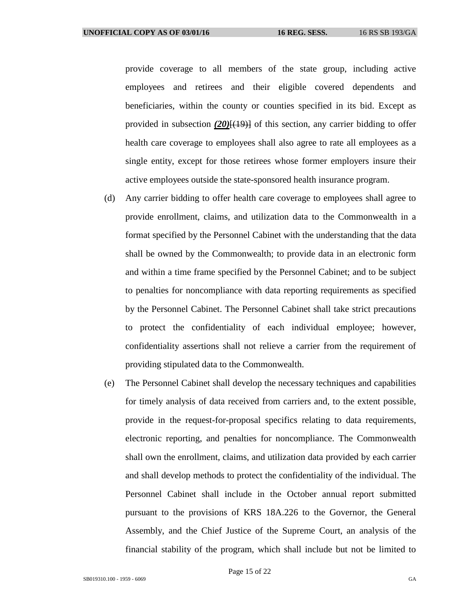provide coverage to all members of the state group, including active employees and retirees and their eligible covered dependents and beneficiaries, within the county or counties specified in its bid. Except as provided in subsection  $(20)(19)$  of this section, any carrier bidding to offer health care coverage to employees shall also agree to rate all employees as a single entity, except for those retirees whose former employers insure their active employees outside the state-sponsored health insurance program.

- (d) Any carrier bidding to offer health care coverage to employees shall agree to provide enrollment, claims, and utilization data to the Commonwealth in a format specified by the Personnel Cabinet with the understanding that the data shall be owned by the Commonwealth; to provide data in an electronic form and within a time frame specified by the Personnel Cabinet; and to be subject to penalties for noncompliance with data reporting requirements as specified by the Personnel Cabinet. The Personnel Cabinet shall take strict precautions to protect the confidentiality of each individual employee; however, confidentiality assertions shall not relieve a carrier from the requirement of providing stipulated data to the Commonwealth.
- (e) The Personnel Cabinet shall develop the necessary techniques and capabilities for timely analysis of data received from carriers and, to the extent possible, provide in the request-for-proposal specifics relating to data requirements, electronic reporting, and penalties for noncompliance. The Commonwealth shall own the enrollment, claims, and utilization data provided by each carrier and shall develop methods to protect the confidentiality of the individual. The Personnel Cabinet shall include in the October annual report submitted pursuant to the provisions of KRS 18A.226 to the Governor, the General Assembly, and the Chief Justice of the Supreme Court, an analysis of the financial stability of the program, which shall include but not be limited to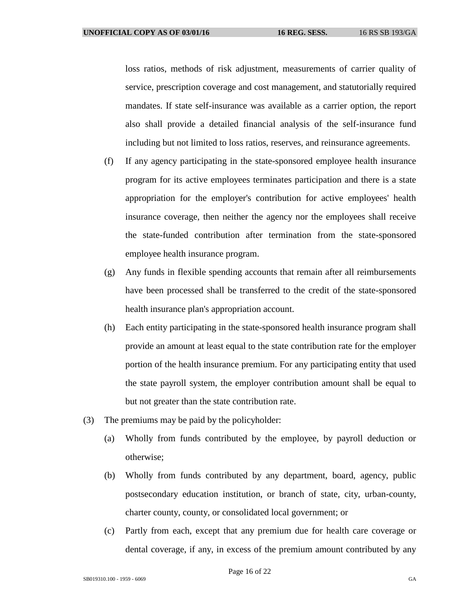loss ratios, methods of risk adjustment, measurements of carrier quality of service, prescription coverage and cost management, and statutorially required mandates. If state self-insurance was available as a carrier option, the report also shall provide a detailed financial analysis of the self-insurance fund including but not limited to loss ratios, reserves, and reinsurance agreements.

- (f) If any agency participating in the state-sponsored employee health insurance program for its active employees terminates participation and there is a state appropriation for the employer's contribution for active employees' health insurance coverage, then neither the agency nor the employees shall receive the state-funded contribution after termination from the state-sponsored employee health insurance program.
- (g) Any funds in flexible spending accounts that remain after all reimbursements have been processed shall be transferred to the credit of the state-sponsored health insurance plan's appropriation account.
- (h) Each entity participating in the state-sponsored health insurance program shall provide an amount at least equal to the state contribution rate for the employer portion of the health insurance premium. For any participating entity that used the state payroll system, the employer contribution amount shall be equal to but not greater than the state contribution rate.
- (3) The premiums may be paid by the policyholder:
	- (a) Wholly from funds contributed by the employee, by payroll deduction or otherwise;
	- (b) Wholly from funds contributed by any department, board, agency, public postsecondary education institution, or branch of state, city, urban-county, charter county, county, or consolidated local government; or
	- (c) Partly from each, except that any premium due for health care coverage or dental coverage, if any, in excess of the premium amount contributed by any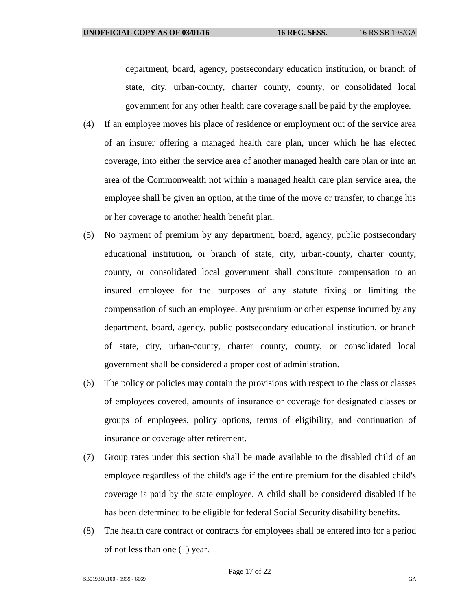department, board, agency, postsecondary education institution, or branch of state, city, urban-county, charter county, county, or consolidated local government for any other health care coverage shall be paid by the employee.

- (4) If an employee moves his place of residence or employment out of the service area of an insurer offering a managed health care plan, under which he has elected coverage, into either the service area of another managed health care plan or into an area of the Commonwealth not within a managed health care plan service area, the employee shall be given an option, at the time of the move or transfer, to change his or her coverage to another health benefit plan.
- (5) No payment of premium by any department, board, agency, public postsecondary educational institution, or branch of state, city, urban-county, charter county, county, or consolidated local government shall constitute compensation to an insured employee for the purposes of any statute fixing or limiting the compensation of such an employee. Any premium or other expense incurred by any department, board, agency, public postsecondary educational institution, or branch of state, city, urban-county, charter county, county, or consolidated local government shall be considered a proper cost of administration.
- (6) The policy or policies may contain the provisions with respect to the class or classes of employees covered, amounts of insurance or coverage for designated classes or groups of employees, policy options, terms of eligibility, and continuation of insurance or coverage after retirement.
- (7) Group rates under this section shall be made available to the disabled child of an employee regardless of the child's age if the entire premium for the disabled child's coverage is paid by the state employee. A child shall be considered disabled if he has been determined to be eligible for federal Social Security disability benefits.
- (8) The health care contract or contracts for employees shall be entered into for a period of not less than one (1) year.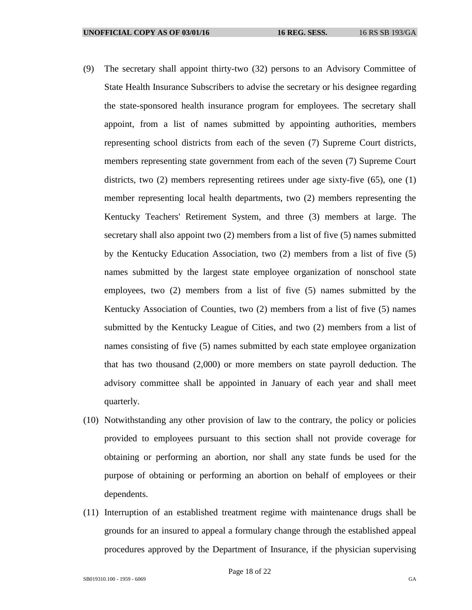- (9) The secretary shall appoint thirty-two (32) persons to an Advisory Committee of State Health Insurance Subscribers to advise the secretary or his designee regarding the state-sponsored health insurance program for employees. The secretary shall appoint, from a list of names submitted by appointing authorities, members representing school districts from each of the seven (7) Supreme Court districts, members representing state government from each of the seven (7) Supreme Court districts, two (2) members representing retirees under age sixty-five (65), one (1) member representing local health departments, two (2) members representing the Kentucky Teachers' Retirement System, and three (3) members at large. The secretary shall also appoint two (2) members from a list of five (5) names submitted by the Kentucky Education Association, two (2) members from a list of five (5) names submitted by the largest state employee organization of nonschool state employees, two (2) members from a list of five (5) names submitted by the Kentucky Association of Counties, two (2) members from a list of five (5) names submitted by the Kentucky League of Cities, and two (2) members from a list of names consisting of five (5) names submitted by each state employee organization that has two thousand (2,000) or more members on state payroll deduction. The advisory committee shall be appointed in January of each year and shall meet quarterly.
- (10) Notwithstanding any other provision of law to the contrary, the policy or policies provided to employees pursuant to this section shall not provide coverage for obtaining or performing an abortion, nor shall any state funds be used for the purpose of obtaining or performing an abortion on behalf of employees or their dependents.
- (11) Interruption of an established treatment regime with maintenance drugs shall be grounds for an insured to appeal a formulary change through the established appeal procedures approved by the Department of Insurance, if the physician supervising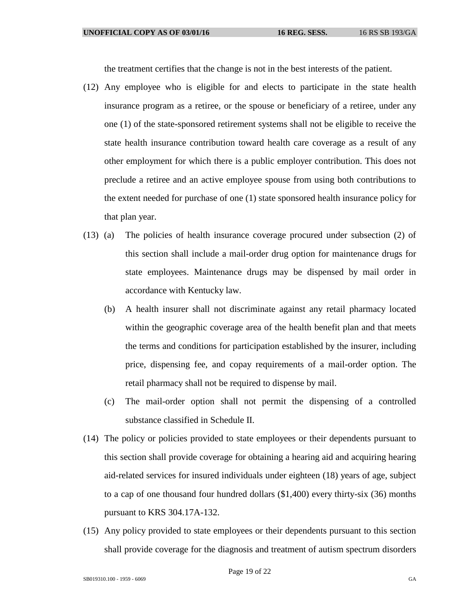the treatment certifies that the change is not in the best interests of the patient.

- (12) Any employee who is eligible for and elects to participate in the state health insurance program as a retiree, or the spouse or beneficiary of a retiree, under any one (1) of the state-sponsored retirement systems shall not be eligible to receive the state health insurance contribution toward health care coverage as a result of any other employment for which there is a public employer contribution. This does not preclude a retiree and an active employee spouse from using both contributions to the extent needed for purchase of one (1) state sponsored health insurance policy for that plan year.
- (13) (a) The policies of health insurance coverage procured under subsection (2) of this section shall include a mail-order drug option for maintenance drugs for state employees. Maintenance drugs may be dispensed by mail order in accordance with Kentucky law.
	- (b) A health insurer shall not discriminate against any retail pharmacy located within the geographic coverage area of the health benefit plan and that meets the terms and conditions for participation established by the insurer, including price, dispensing fee, and copay requirements of a mail-order option. The retail pharmacy shall not be required to dispense by mail.
	- (c) The mail-order option shall not permit the dispensing of a controlled substance classified in Schedule II.
- (14) The policy or policies provided to state employees or their dependents pursuant to this section shall provide coverage for obtaining a hearing aid and acquiring hearing aid-related services for insured individuals under eighteen (18) years of age, subject to a cap of one thousand four hundred dollars (\$1,400) every thirty-six (36) months pursuant to KRS 304.17A-132.
- (15) Any policy provided to state employees or their dependents pursuant to this section shall provide coverage for the diagnosis and treatment of autism spectrum disorders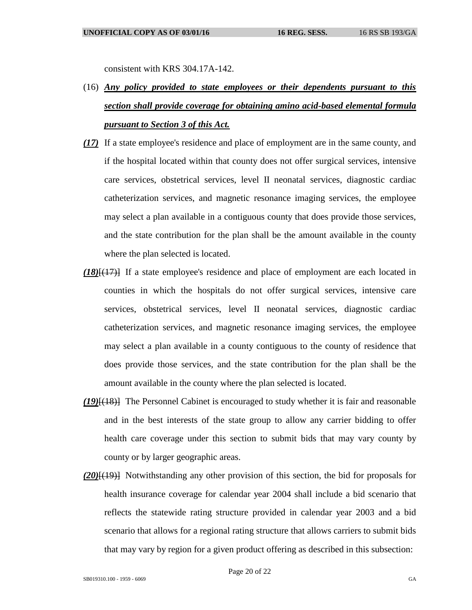consistent with KRS 304.17A-142.

- (16) *Any policy provided to state employees or their dependents pursuant to this section shall provide coverage for obtaining amino acid-based elemental formula pursuant to Section 3 of this Act.*
- *(17)* If a state employee's residence and place of employment are in the same county, and if the hospital located within that county does not offer surgical services, intensive care services, obstetrical services, level II neonatal services, diagnostic cardiac catheterization services, and magnetic resonance imaging services, the employee may select a plan available in a contiguous county that does provide those services, and the state contribution for the plan shall be the amount available in the county where the plan selected is located.
- *(18)*[(17)] If a state employee's residence and place of employment are each located in counties in which the hospitals do not offer surgical services, intensive care services, obstetrical services, level II neonatal services, diagnostic cardiac catheterization services, and magnetic resonance imaging services, the employee may select a plan available in a county contiguous to the county of residence that does provide those services, and the state contribution for the plan shall be the amount available in the county where the plan selected is located.
- *(19)*[(18)] The Personnel Cabinet is encouraged to study whether it is fair and reasonable and in the best interests of the state group to allow any carrier bidding to offer health care coverage under this section to submit bids that may vary county by county or by larger geographic areas.
- *(20)*[(19)] Notwithstanding any other provision of this section, the bid for proposals for health insurance coverage for calendar year 2004 shall include a bid scenario that reflects the statewide rating structure provided in calendar year 2003 and a bid scenario that allows for a regional rating structure that allows carriers to submit bids that may vary by region for a given product offering as described in this subsection: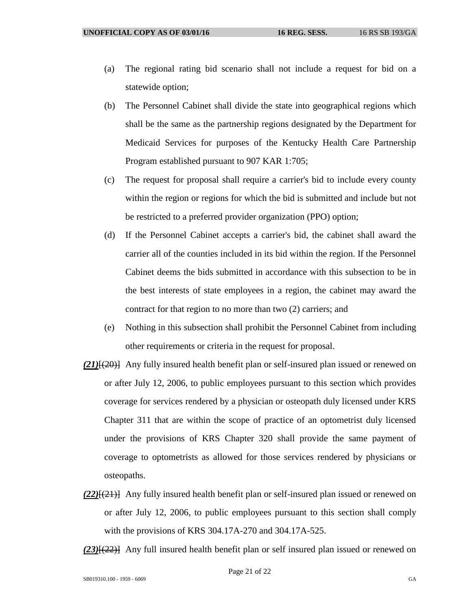- (a) The regional rating bid scenario shall not include a request for bid on a statewide option;
- (b) The Personnel Cabinet shall divide the state into geographical regions which shall be the same as the partnership regions designated by the Department for Medicaid Services for purposes of the Kentucky Health Care Partnership Program established pursuant to 907 KAR 1:705;
- (c) The request for proposal shall require a carrier's bid to include every county within the region or regions for which the bid is submitted and include but not be restricted to a preferred provider organization (PPO) option;
- (d) If the Personnel Cabinet accepts a carrier's bid, the cabinet shall award the carrier all of the counties included in its bid within the region. If the Personnel Cabinet deems the bids submitted in accordance with this subsection to be in the best interests of state employees in a region, the cabinet may award the contract for that region to no more than two (2) carriers; and
- (e) Nothing in this subsection shall prohibit the Personnel Cabinet from including other requirements or criteria in the request for proposal.
- *(21)*[(20)] Any fully insured health benefit plan or self-insured plan issued or renewed on or after July 12, 2006, to public employees pursuant to this section which provides coverage for services rendered by a physician or osteopath duly licensed under KRS Chapter 311 that are within the scope of practice of an optometrist duly licensed under the provisions of KRS Chapter 320 shall provide the same payment of coverage to optometrists as allowed for those services rendered by physicians or osteopaths.
- *(22)*[(21)] Any fully insured health benefit plan or self-insured plan issued or renewed on or after July 12, 2006, to public employees pursuant to this section shall comply with the provisions of KRS 304.17A-270 and 304.17A-525.

*(23)*[(22)] Any full insured health benefit plan or self insured plan issued or renewed on